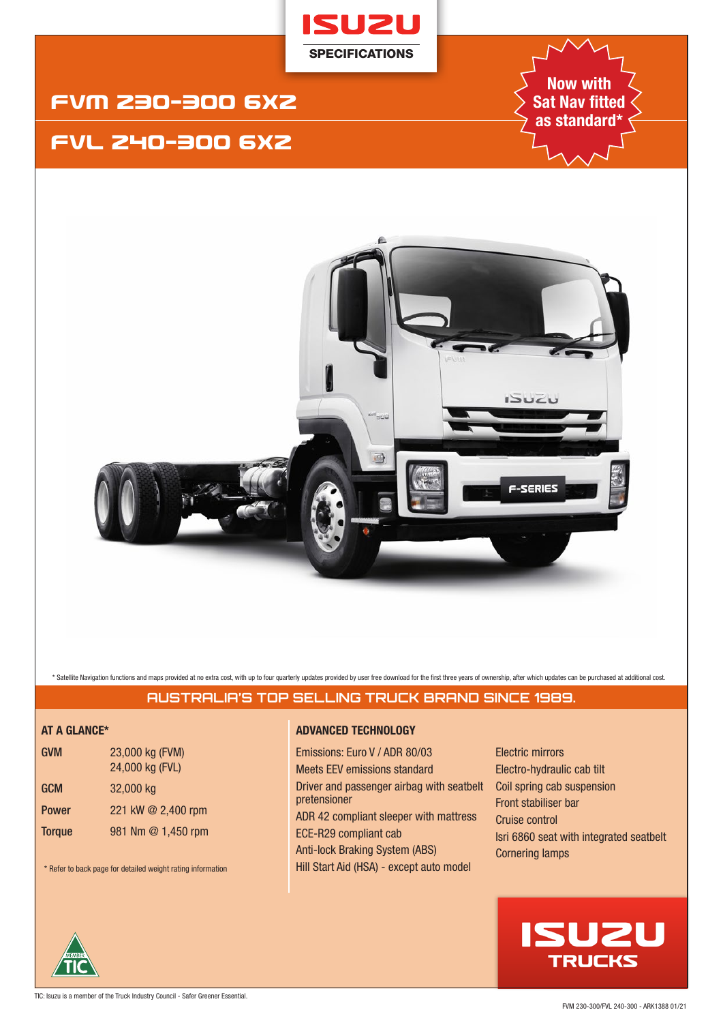

## FVM 23O-3OO 6x2

## FVL 24O-3OO 6x2

**Now with Sat Nav fitted as standard\***



\* Satellite Navigation functions and maps provided at no extra cost, with up to four quarterly updates provided by user free download for the first three years of ownership, after which updates can be purchased at addition

## **AUSTRALIA'S TOP SELLING TRUCK BRAND SINCE 1989.**

| <b>GVM</b>    | 23,000 kg (FVM)<br>24,000 kg (FVL) |
|---------------|------------------------------------|
| <b>GCM</b>    | 32,000 kg                          |
| <b>Power</b>  | 221 kW @ 2,400 rpm                 |
| <b>Torque</b> | 981 Nm @ 1,450 rpm                 |

\* Refer to back page for detailed weight rating information

### **AT A GLANCE\* ADVANCED TECHNOLOGY**

Emissions: Euro V / ADR 80/03 Meets EEV emissions standard Driver and passenger airbag with seatbelt pretensioner ADR 42 compliant sleeper with mattress ECE-R29 compliant cab Anti-lock Braking System (ABS) Hill Start Aid (HSA) - except auto model

Electric mirrors Electro-hydraulic cab tilt Coil spring cab suspension Front stabiliser bar Cruise control Isri 6860 seat with integrated seatbelt Cornering lamps

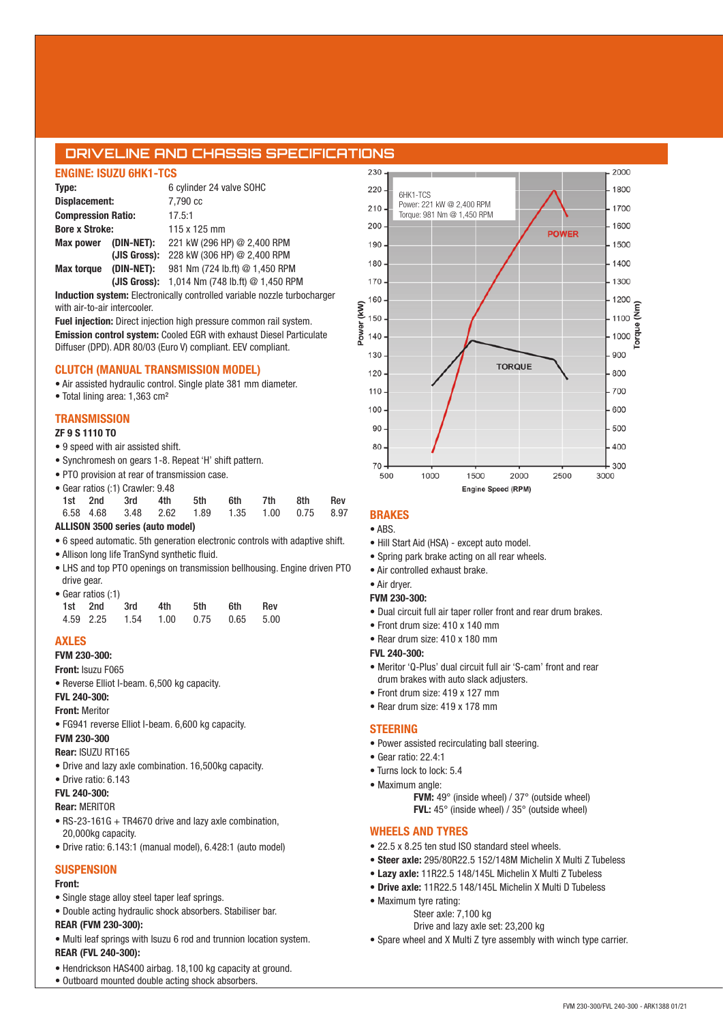### **DRIVELINE AND CHASSIS SPECIFICATIONS**

### **ENGINE: ISUZU 6HK1-TCS**

| Type:                     |              | 6 cylinder 24 valve SOHC         |  |  |  |  |
|---------------------------|--------------|----------------------------------|--|--|--|--|
| Displacement:             |              | 7.790 cc                         |  |  |  |  |
| <b>Compression Ratio:</b> |              | 17.5:1                           |  |  |  |  |
| <b>Bore x Stroke:</b>     |              | 115 x 125 mm                     |  |  |  |  |
| Max power (DIN-NET):      |              | 221 kW (296 HP) @ 2,400 RPM      |  |  |  |  |
|                           | (JIS Gross): | 228 kW (306 HP) @ 2,400 RPM      |  |  |  |  |
| <b>Max torque</b>         | (DIN-NET):   | 981 Nm (724 lb.ft) @ 1,450 RPM   |  |  |  |  |
|                           | (JIS Gross): | 1,014 Nm (748 lb.ft) @ 1,450 RPM |  |  |  |  |

**Induction system:** Electronically controlled variable nozzle turbocharger with air-to-air intercooler.

**Fuel injection:** Direct injection high pressure common rail system. **Emission control system:** Cooled EGR with exhaust Diesel Particulate Diffuser (DPD). ADR 80/03 (Euro V) compliant. EEV compliant.

### **CLUTCH (MANUAL TRANSMISSION MODEL)**

• Air assisted hydraulic control. Single plate 381 mm diameter.

• Total lining area: 1,363 cm²

#### **TRANSMISSION**

#### **ZF 9 S 1110 TO**

- 9 speed with air assisted shift.
- Synchromesh on gears 1-8. Repeat 'H' shift pattern.
- PTO provision at rear of transmission case.
- Gear ratios (:1) Crawler: 9.48

|  | 1st 2nd 3rd                                  | 4th | 5th | 6th a | 7th | 8th | <b>Rev</b> |
|--|----------------------------------------------|-----|-----|-------|-----|-----|------------|
|  | 6.58 4.68 3.48 2.62 1.89 1.35 1.00 0.75 8.97 |     |     |       |     |     |            |
|  | ALLISON 3500 series (auto model)             |     |     |       |     |     |            |

- 6 speed automatic. 5th generation electronic controls with adaptive shift.
- Allison long life TranSynd synthetic fluid.
- LHS and top PTO openings on transmission bellhousing. Engine driven PTO drive gear. • Gear ratios (:1)

|  | • Gear ratios (: i ) |                                    |     |     |     |       |
|--|----------------------|------------------------------------|-----|-----|-----|-------|
|  |                      | 1st 2nd 3rd                        | 4th | 5th | 6th | – Rev |
|  |                      | 4.59 2.25 1.54 1.00 0.75 0.65 5.00 |     |     |     |       |

### **AXLES**

**FVM 230-300: Front:** Isuzu F065

• Reverse Elliot I-beam. 6,500 kg capacity.

#### **FVL 240-300: Front:** Meritor

• FG941 reverse Elliot I-beam. 6,600 kg capacity.

#### **FVM 230-300**

#### **Rear:** ISUZU RT165

- Drive and lazy axle combination. 16,500kg capacity.
- Drive ratio: 6.143

### **FVL 240-300:**

**Rear:** MERITOR

- RS-23-161G + TR4670 drive and lazy axle combination, 20,000kg capacity.
- Drive ratio: 6.143:1 (manual model), 6.428:1 (auto model)

#### **SUSPENSION**

#### **Front:**

• Single stage alloy steel taper leaf springs.

- Double acting hydraulic shock absorbers. Stabiliser bar. **REAR (FVM 230-300):**
- 
- Multi leaf springs with Isuzu 6 rod and trunnion location system. **REAR (FVL 240-300):**
- Hendrickson HAS400 airbag. 18,100 kg capacity at ground.
- Outboard mounted double acting shock absorbers.



### **BRAKES**

#### • ABS.

- Hill Start Aid (HSA) except auto model.
- Spring park brake acting on all rear wheels.
- Air controlled exhaust brake.
- Air dryer.

### **FVM 230-300:**

- Dual circuit full air taper roller front and rear drum brakes.
- Front drum size: 410 x 140 mm
- Rear drum size: 410 x 180 mm
- **FVL 240-300:**
- Meritor 'Q-Plus' dual circuit full air 'S-cam' front and rear drum brakes with auto slack adjusters.
- Front drum size: 419 x 127 mm
- Rear drum size: 419 x 178 mm

#### **STEERING**

- Power assisted recirculating ball steering.
- Gear ratio: 22.4:1
- Turns lock to lock: 5.4
- Maximum angle:
	- **FVM:** 49° (inside wheel) / 37° (outside wheel) **FVL:** 45° (inside wheel) / 35° (outside wheel)

### **WHEELS AND TYRES**

- 22.5 x 8.25 ten stud ISO standard steel wheels.
- **Steer axle:** 295/80R22.5 152/148M Michelin X Multi Z Tubeless
- • **Lazy axle:** 11R22.5 148/145L Michelin X Multi Z Tubeless
- **Drive axle:** 11R22.5 148/145L Michelin X Multi D Tubeless
- Maximum tyre rating:
	- Steer axle: 7,100 kg
		- Drive and lazy axle set: 23,200 kg
- Spare wheel and X Multi Z tyre assembly with winch type carrier.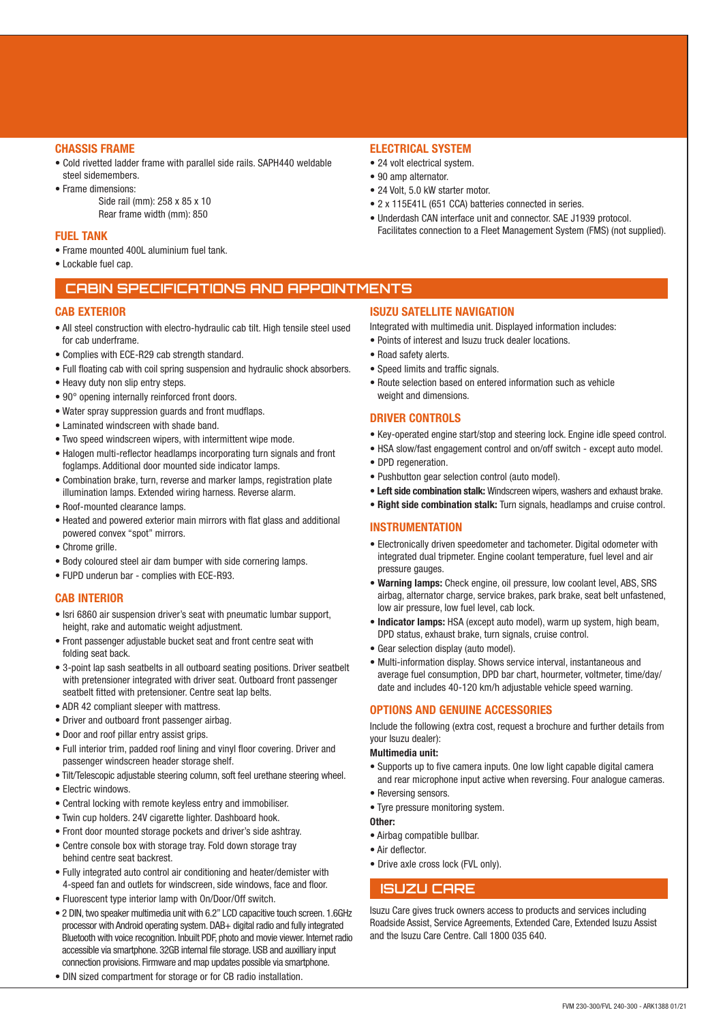#### **CHASSIS FRAME**

- Cold rivetted ladder frame with parallel side rails. SAPH440 weldable steel sidemembers.
- Frame dimensions: Side rail (mm): 258 x 85 x 10 Rear frame width (mm): 850

#### **FUEL TANK**

- Frame mounted 400L aluminium fuel tank.
- Lockable fuel cap.

### **CABIN SPECIFICATIONS AND APPOINTMENTS**

#### **CAR EXTERIOR**

- All steel construction with electro-hydraulic cab tilt. High tensile steel used for cab underframe.
- Complies with ECE-R29 cab strength standard.
- Full floating cab with coil spring suspension and hydraulic shock absorbers.
- Heavy duty non slip entry steps.
- 90° opening internally reinforced front doors.
- Water spray suppression guards and front mudflaps.
- Laminated windscreen with shade band.
- Two speed windscreen wipers, with intermittent wipe mode.
- Halogen multi-reflector headlamps incorporating turn signals and front foglamps. Additional door mounted side indicator lamps.
- Combination brake, turn, reverse and marker lamps, registration plate illumination lamps. Extended wiring harness. Reverse alarm.
- Roof-mounted clearance lamps.
- Heated and powered exterior main mirrors with flat glass and additional powered convex "spot" mirrors.
- Chrome grille.
- Body coloured steel air dam bumper with side cornering lamps.
- FUPD underun bar complies with ECE-R93.

#### **CAB INTERIOR**

- Isri 6860 air suspension driver's seat with pneumatic lumbar support, height, rake and automatic weight adjustment.
- Front passenger adjustable bucket seat and front centre seat with folding seat back.
- 3-point lap sash seatbelts in all outboard seating positions. Driver seatbelt with pretensioner integrated with driver seat. Outboard front passenger seatbelt fitted with pretensioner. Centre seat lap belts.
- ADR 42 compliant sleeper with mattress.
- Driver and outboard front passenger airbag.
- Door and roof pillar entry assist grips.
- Full interior trim, padded roof lining and vinyl floor covering. Driver and passenger windscreen header storage shelf.
- Tilt/Telescopic adjustable steering column, soft feel urethane steering wheel.
- Electric windows.
- Central locking with remote keyless entry and immobiliser.
- Twin cup holders. 24V cigarette lighter. Dashboard hook.
- Front door mounted storage pockets and driver's side ashtray.
- Centre console box with storage tray. Fold down storage tray behind centre seat backrest.
- Fully integrated auto control air conditioning and heater/demister with 4-speed fan and outlets for windscreen, side windows, face and floor.
- Fluorescent type interior lamp with On/Door/Off switch.
- 2 DIN, two speaker multimedia unit with 6.2" LCD capacitive touch screen. 1.6GHz processor with Android operating system. DAB+ digital radio and fully integrated Bluetooth with voice recognition. Inbuilt PDF, photo and movie viewer. Internet radio accessible via smartphone. 32GB internal file storage. USB and auxilliary input connection provisions. Firmware and map updates possible via smartphone.
- DIN sized compartment for storage or for CB radio installation.

### **ELECTRICAL SYSTEM**

- 24 volt electrical system.
- 90 amp alternator.
- 24 Volt, 5.0 kW starter motor.
- 2 x 115E41L (651 CCA) batteries connected in series.
- Underdash CAN interface unit and connector. SAE J1939 protocol. Facilitates connection to a Fleet Management System (FMS) (not supplied).

#### **ISUZU SATELLITE NAVIGATION**

Integrated with multimedia unit. Displayed information includes:

- Points of interest and Isuzu truck dealer locations.
- Road safety alerts.
- Speed limits and traffic signals.
- Route selection based on entered information such as vehicle weight and dimensions.

#### **DRIVER CONTROLS**

- Key-operated engine start/stop and steering lock. Engine idle speed control.
- HSA slow/fast engagement control and on/off switch except auto model.
- DPD regeneration.
- Pushbutton gear selection control (auto model).
- **Left side combination stalk:** Windscreen wipers, washers and exhaust brake.
- **Right side combination stalk:** Turn signals, headlamps and cruise control.

#### **INSTRUMENTATION**

- Electronically driven speedometer and tachometer. Digital odometer with integrated dual tripmeter. Engine coolant temperature, fuel level and air pressure gauges.
- **Warning lamps:** Check engine, oil pressure, low coolant level, ABS, SRS airbag, alternator charge, service brakes, park brake, seat belt unfastened, low air pressure, low fuel level, cab lock.
- **Indicator lamps:** HSA (except auto model), warm up system, high beam, DPD status, exhaust brake, turn signals, cruise control.
- Gear selection display (auto model).
- Multi-information display. Shows service interval, instantaneous and average fuel consumption, DPD bar chart, hourmeter, voltmeter, time/day/ date and includes 40-120 km/h adjustable vehicle speed warning.

#### **OPTIONS AND GENUINE ACCESSORIES**

Include the following (extra cost, request a brochure and further details from your Isuzu dealer):

#### **Multimedia unit:**

- Supports up to five camera inputs. One low light capable digital camera and rear microphone input active when reversing. Four analogue cameras.
- Reversing sensors.
- Tyre pressure monitoring system.

#### **Other:**

- Airbag compatible bullbar.
- Air deflector.
- Drive axle cross lock (FVL only).

### **ISUZU CARE**

Isuzu Care gives truck owners access to products and services including Roadside Assist, Service Agreements, Extended Care, Extended Isuzu Assist and the Isuzu Care Centre. Call 1800 035 640.